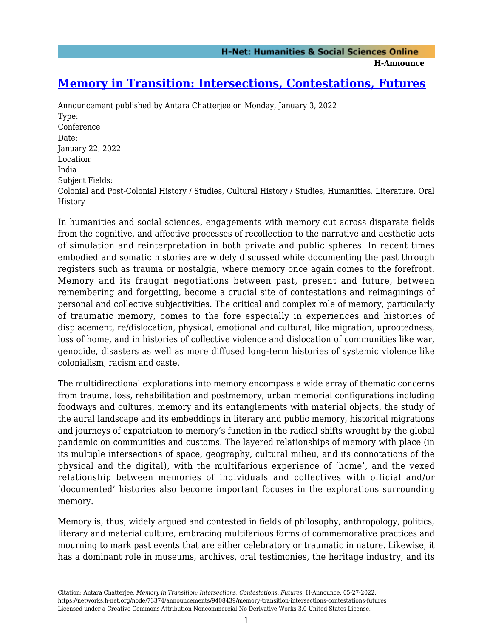**H-Announce** 

# **[Memory in Transition: Intersections, Contestations, Futures](https://networks.h-net.org/node/73374/announcements/9408439/memory-transition-intersections-contestations-futures)**

Announcement published by Antara Chatterjee on Monday, January 3, 2022 Type: Conference Date: January 22, 2022 Location: India Subject Fields: Colonial and Post-Colonial History / Studies, Cultural History / Studies, Humanities, Literature, Oral History

In humanities and social sciences, engagements with memory cut across disparate fields from the cognitive, and affective processes of recollection to the narrative and aesthetic acts of simulation and reinterpretation in both private and public spheres. In recent times embodied and somatic histories are widely discussed while documenting the past through registers such as trauma or nostalgia, where memory once again comes to the forefront. Memory and its fraught negotiations between past, present and future, between remembering and forgetting, become a crucial site of contestations and reimaginings of personal and collective subjectivities. The critical and complex role of memory, particularly of traumatic memory, comes to the fore especially in experiences and histories of displacement, re/dislocation, physical, emotional and cultural, like migration, uprootedness, loss of home, and in histories of collective violence and dislocation of communities like war, genocide, disasters as well as more diffused long-term histories of systemic violence like colonialism, racism and caste.

The multidirectional explorations into memory encompass a wide array of thematic concerns from trauma, loss, rehabilitation and postmemory, urban memorial configurations including foodways and cultures, memory and its entanglements with material objects, the study of the aural landscape and its embeddings in literary and public memory, historical migrations and journeys of expatriation to memory's function in the radical shifts wrought by the global pandemic on communities and customs. The layered relationships of memory with place (in its multiple intersections of space, geography, cultural milieu, and its connotations of the physical and the digital), with the multifarious experience of 'home', and the vexed relationship between memories of individuals and collectives with official and/or 'documented' histories also become important focuses in the explorations surrounding memory.

Memory is, thus, widely argued and contested in fields of philosophy, anthropology, politics, literary and material culture, embracing multifarious forms of commemorative practices and mourning to mark past events that are either celebratory or traumatic in nature. Likewise, it has a dominant role in museums, archives, oral testimonies, the heritage industry, and its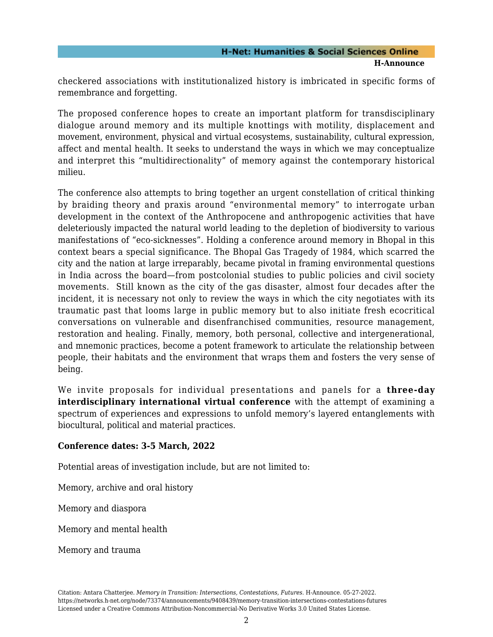## **H-Net: Humanities & Social Sciences Online H-Announce**

checkered associations with institutionalized history is imbricated in specific forms of remembrance and forgetting.

The proposed conference hopes to create an important platform for transdisciplinary dialogue around memory and its multiple knottings with motility, displacement and movement, environment, physical and virtual ecosystems, sustainability, cultural expression, affect and mental health. It seeks to understand the ways in which we may conceptualize and interpret this "multidirectionality" of memory against the contemporary historical milieu.

The conference also attempts to bring together an urgent constellation of critical thinking by braiding theory and praxis around "environmental memory" to interrogate urban development in the context of the Anthropocene and anthropogenic activities that have deleteriously impacted the natural world leading to the depletion of biodiversity to various manifestations of "eco-sicknesses". Holding a conference around memory in Bhopal in this context bears a special significance. The Bhopal Gas Tragedy of 1984, which scarred the city and the nation at large irreparably, became pivotal in framing environmental questions in India across the board—from postcolonial studies to public policies and civil society movements. Still known as the city of the gas disaster, almost four decades after the incident, it is necessary not only to review the ways in which the city negotiates with its traumatic past that looms large in public memory but to also initiate fresh ecocritical conversations on vulnerable and disenfranchised communities, resource management, restoration and healing. Finally, memory, both personal, collective and intergenerational, and mnemonic practices, become a potent framework to articulate the relationship between people, their habitats and the environment that wraps them and fosters the very sense of being.

We invite proposals for individual presentations and panels for a **three-day interdisciplinary international virtual conference** with the attempt of examining a spectrum of experiences and expressions to unfold memory's layered entanglements with biocultural, political and material practices.

## **Conference dates: 3-5 March, 2022**

Potential areas of investigation include, but are not limited to:

Memory, archive and oral history

Memory and diaspora

Memory and mental health

Memory and trauma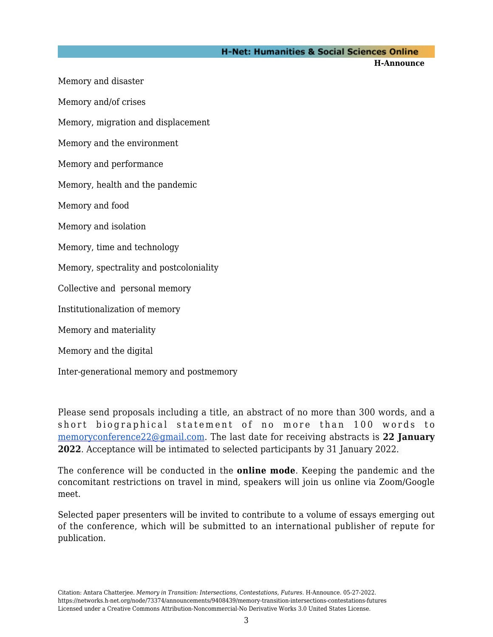### **H-Net: Humanities & Social Sciences Online**

**H-Announce** 

Memory and disaster Memory and/of crises Memory, migration and displacement Memory and the environment Memory and performance Memory, health and the pandemic Memory and food Memory and isolation Memory, time and technology Memory, spectrality and postcoloniality Collective and personal memory Institutionalization of memory Memory and materiality Memory and the digital

Inter-generational memory and postmemory

Please send proposals including a title, an abstract of no more than 300 words, and a short biographical statement of no more than 100 words to [memoryconference22@gmail.com](mailto:memoryconference22@gmail.com). The last date for receiving abstracts is **22 January 2022**. Acceptance will be intimated to selected participants by 31 January 2022.

The conference will be conducted in the **online mode**. Keeping the pandemic and the concomitant restrictions on travel in mind, speakers will join us online via Zoom/Google meet.

Selected paper presenters will be invited to contribute to a volume of essays emerging out of the conference, which will be submitted to an international publisher of repute for publication.

Citation: Antara Chatterjee. *Memory in Transition: Intersections, Contestations, Futures*. H-Announce. 05-27-2022. https://networks.h-net.org/node/73374/announcements/9408439/memory-transition-intersections-contestations-futures Licensed under a Creative Commons Attribution-Noncommercial-No Derivative Works 3.0 United States License.